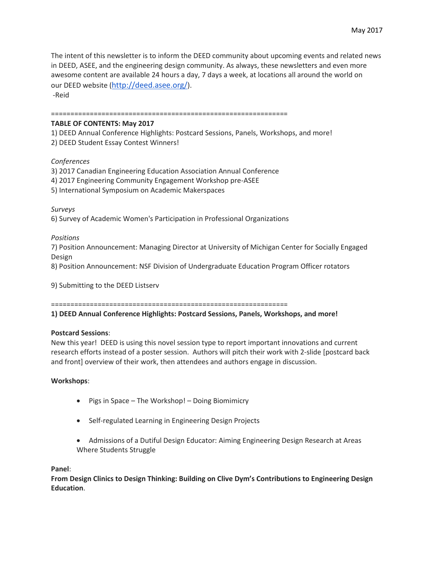The intent of this newsletter is to inform the DEED community about upcoming events and related news in DEED, ASEE, and the engineering design community. As always, these newsletters and even more awesome content are available 24 hours a day, 7 days a week, at locations all around the world on our DEED website (<http://deed.asee.org/>). -Reid

=============================================================

## **TABLE OF CONTENTS: May 2017**

1) DEED Annual Conference Highlights: Postcard Sessions, Panels, Workshops, and more! 2) DEED Student Essay Contest Winners!

## *Conferences*

3) 2017 Canadian Engineering Education Association Annual Conference

- 4) 2017 Engineering Community Engagement Workshop pre-ASEE
- 5) International Symposium on Academic Makerspaces

*Surveys*

6) Survey of Academic Women's Participation in Professional Organizations

*Positions*

7) Position Announcement: Managing Director at University of Michigan Center for Socially Engaged Design

8) Position Announcement: NSF Division of Undergraduate Education Program Officer rotators

9) Submitting to the DEED Listserv

=============================================================

**1) DEED Annual Conference Highlights: Postcard Sessions, Panels, Workshops, and more!**

## **Postcard Sessions**:

New this year! DEED is using this novel session type to report important innovations and current research efforts instead of a poster session. Authors will pitch their work with 2-slide [postcard back and front] overview of their work, then attendees and authors engage in discussion.

## **Workshops**:

- Pigs in Space The Workshop! Doing Biomimicry
- Self-regulated Learning in Engineering Design Projects
- Admissions of a Dutiful Design Educator: Aiming Engineering Design Research at Areas Where Students Struggle

**Panel**:

**From Design Clinics to Design Thinking: Building on Clive Dym's Contributions to Engineering Design Education**.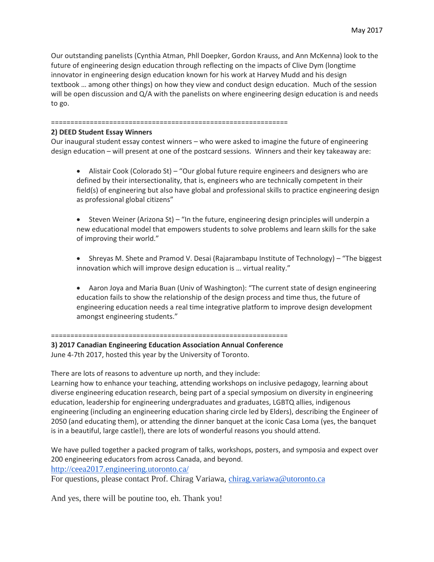Our outstanding panelists (Cynthia Atman, Phll Doepker, Gordon Krauss, and Ann McKenna) look to the future of engineering design education through reflecting on the impacts of Clive Dym (longtime innovator in engineering design education known for his work at Harvey Mudd and his design textbook … among other things) on how they view and conduct design education. Much of the session will be open discussion and Q/A with the panelists on where engineering design education is and needs to go.

#### =============================================================

#### **2) DEED Student Essay Winners**

Our inaugural student essay contest winners – who were asked to imagine the future of engineering design education – will present at one of the postcard sessions. Winners and their key takeaway are:

 Alistair Cook (Colorado St) – "Our global future require engineers and designers who are defined by their intersectionality, that is, engineers who are technically competent in their field(s) of engineering but also have global and professional skills to practice engineering design as professional global citizens"

 Steven Weiner (Arizona St) – "In the future, engineering design principles will underpin a new educational model that empowers students to solve problems and learn skills for the sake of improving their world."

 Shreyas M. Shete and Pramod V. Desai (Rajarambapu Institute of Technology) – "The biggest innovation which will improve design education is … virtual reality."

 Aaron Joya and Maria Buan (Univ of Washington): "The current state of design engineering education fails to show the relationship of the design process and time thus, the future of engineering education needs a real time integrative platform to improve design development amongst engineering students."

=============================================================

**3) 2017 Canadian Engineering Education Association Annual Conference** June 4-7th 2017, hosted this year by the University of Toronto.

There are lots of reasons to adventure up north, and they include:

Learning how to enhance your teaching, attending workshops on inclusive pedagogy, learning about diverse engineering education research, being part of a special symposium on diversity in engineering education, leadership for engineering undergraduates and graduates, LGBTQ allies, indigenous engineering (including an engineering education sharing circle led by Elders), describing the Engineer of 2050 (and educating them), or attending the dinner banquet at the iconic Casa Loma (yes, the banquet is in a beautiful, large castle!), there are lots of wonderful reasons you should attend.

We have pulled together a packed program of talks, workshops, posters, and symposia and expect over 200 engineering educators from across Canada, and beyond.

<http://ceea2017.engineering.utoronto.ca/>

For questions, please contact Prof. Chirag Variawa, [chirag.variawa@utoronto.ca](mailto:chirag.variawa@utoronto.ca)

And yes, there will be poutine too, eh. Thank you!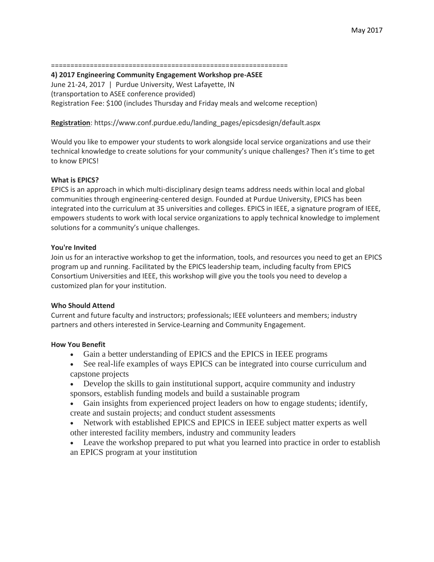#### =============================================================

**4) 2017 Engineering Community Engagement Workshop pre-ASEE**

June 21-24, 2017 | Purdue University, West Lafayette, IN (transportation to ASEE conference provided) Registration Fee: \$100 (includes Thursday and Friday meals and welcome reception)

## **Registration**: https://www.conf.purdue.edu/landing\_pages/epicsdesign/default.aspx

Would you like to empower your students to work alongside local service organizations and use their technical knowledge to create solutions for your community's unique challenges? Then it's time to get to know EPICS!

## **What is EPICS?**

EPICS is an approach in which multi-disciplinary design teams address needs within local and global communities through engineering-centered design. Founded at Purdue University, EPICS has been integrated into the curriculum at 35 universities and colleges. EPICS in IEEE, a signature program of IEEE, empowers students to work with local service organizations to apply technical knowledge to implement solutions for a community's unique challenges.

## **You're Invited**

Join us for an interactive workshop to get the information, tools, and resources you need to get an EPICS program up and running. Facilitated by the EPICS leadership team, including faculty from EPICS Consortium Universities and IEEE, this workshop will give you the tools you need to develop a customized plan for your institution.

## **Who Should Attend**

Current and future faculty and instructors; professionals; IEEE volunteers and members; industry partners and others interested in Service-Learning and Community Engagement.

## **How You Benefit**

- Gain a better understanding of EPICS and the EPICS in IEEE programs
- See real-life examples of ways EPICS can be integrated into course curriculum and capstone projects
- Develop the skills to gain institutional support, acquire community and industry sponsors, establish funding models and build a sustainable program
- Gain insights from experienced project leaders on how to engage students; identify, create and sustain projects; and conduct student assessments
- Network with established EPICS and EPICS in IEEE subject matter experts as well other interested facility members, industry and community leaders
- Leave the workshop prepared to put what you learned into practice in order to establish an EPICS program at your institution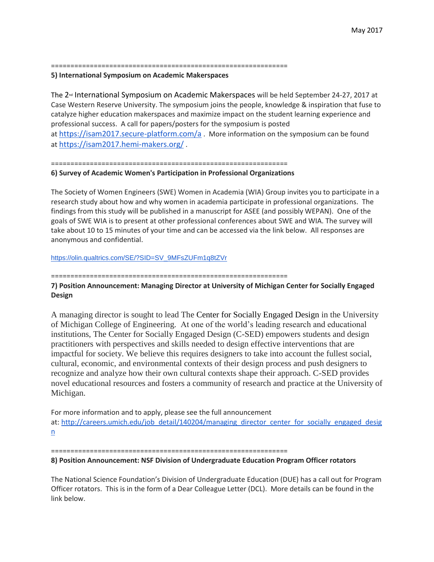=============================================================

#### **5) International Symposium on Academic Makerspaces**

The 2<sup>™</sup> International Symposium on Academic Makerspaces will be held September 24-27, 2017 at Case Western Reserve University. The symposium joins the people, knowledge & inspiration that fuse to catalyze higher education makerspaces and maximize impact on the student learning experience and professional success. A call for papers/posters for the symposium is posted at <https://isam2017.secure-platform.com/a> . More information on the symposium can be found at <https://isam2017.hemi-makers.org/> .

=============================================================

#### **6) Survey of Academic Women's Participation in Professional Organizations**

The Society of Women Engineers (SWE) Women in Academia (WIA) Group invites you to participate in a research study about how and why women in academia participate in professional organizations. The findings from this study will be published in a manuscript for ASEE (and possibly WEPAN). One of the goals of SWE WIA is to present at other professional conferences about SWE and WIA. The survey will take about 10 to 15 minutes of your time and can be accessed via the link below. All responses are anonymous and confidential.

[https://olin.qualtrics.com/SE/?SID=SV\\_9MFsZUFm1q8tZVr](https://olin.qualtrics.com/SE/?SID=SV_9MFsZUFm1q8tZVr)

#### =============================================================

**7) Position Announcement: Managing Director at University of Michigan Center for Socially Engaged Design**

A managing director is sought to lead The Center for Socially Engaged Design in the University of Michigan College of Engineering. At one of the world's leading research and educational institutions, The Center for Socially Engaged Design (C-SED) empowers students and design practitioners with perspectives and skills needed to design effective interventions that are impactful for society. We believe this requires designers to take into account the fullest social, cultural, economic, and environmental contexts of their design process and push designers to recognize and analyze how their own cultural contexts shape their approach. C-SED provides novel educational resources and fosters a community of research and practice at the University of Michigan.

For more information and to apply, please see the full announcement at: [http://careers.umich.edu/job\\_detail/140204/managing\\_director\\_center\\_for\\_socially\\_engaged\\_desig](http://careers.umich.edu/job_detail/140204/managing_director_center_for_socially_engaged_design) [n](http://careers.umich.edu/job_detail/140204/managing_director_center_for_socially_engaged_design)

#### =============================================================

## **8) Position Announcement: NSF Division of Undergraduate Education Program Officer rotators**

The National Science Foundation's Division of Undergraduate Education (DUE) has a call out for Program Officer rotators. This is in the form of a Dear Colleague Letter (DCL). More details can be found in the link below.